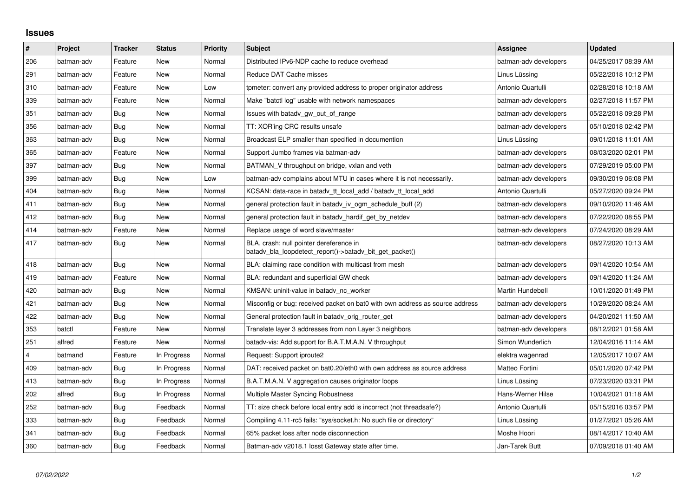## **Issues**

| $\vert$ # | Project    | <b>Tracker</b> | <b>Status</b> | <b>Priority</b> | <b>Subject</b>                                                                                     | Assignee              | <b>Updated</b>      |
|-----------|------------|----------------|---------------|-----------------|----------------------------------------------------------------------------------------------------|-----------------------|---------------------|
| 206       | batman-adv | Feature        | New           | Normal          | Distributed IPv6-NDP cache to reduce overhead                                                      | batman-adv developers | 04/25/2017 08:39 AM |
| 291       | batman-adv | Feature        | New           | Normal          | Reduce DAT Cache misses                                                                            | Linus Lüssing         | 05/22/2018 10:12 PM |
| 310       | batman-adv | Feature        | New           | Low             | tpmeter: convert any provided address to proper originator address                                 | Antonio Quartulli     | 02/28/2018 10:18 AM |
| 339       | batman-adv | Feature        | New           | Normal          | Make "batctl log" usable with network namespaces                                                   | batman-adv developers | 02/27/2018 11:57 PM |
| 351       | batman-adv | Bug            | New           | Normal          | Issues with batady gw_out_of_range                                                                 | batman-adv developers | 05/22/2018 09:28 PM |
| 356       | batman-adv | Bug            | <b>New</b>    | Normal          | TT: XOR'ing CRC results unsafe                                                                     | batman-adv developers | 05/10/2018 02:42 PM |
| 363       | batman-adv | Bug            | <b>New</b>    | Normal          | Broadcast ELP smaller than specified in documention                                                | Linus Lüssing         | 09/01/2018 11:01 AM |
| 365       | batman-adv | Feature        | New           | Normal          | Support Jumbo frames via batman-adv                                                                | batman-adv developers | 08/03/2020 02:01 PM |
| 397       | batman-adv | Bug            | New           | Normal          | BATMAN V throughput on bridge, vxlan and veth                                                      | batman-adv developers | 07/29/2019 05:00 PM |
| 399       | batman-adv | Bug            | <b>New</b>    | Low             | batman-ady complains about MTU in cases where it is not necessarily.                               | batman-adv developers | 09/30/2019 06:08 PM |
| 404       | batman-adv | Bug            | New           | Normal          | KCSAN: data-race in batady tt local add / batady tt local add                                      | Antonio Quartulli     | 05/27/2020 09:24 PM |
| 411       | batman-adv | Bug            | New           | Normal          | general protection fault in batady iv ogm schedule buff (2)                                        | batman-adv developers | 09/10/2020 11:46 AM |
| 412       | batman-adv | Bug            | New           | Normal          | general protection fault in batady hardif get by netdev                                            | batman-adv developers | 07/22/2020 08:55 PM |
| 414       | batman-adv | Feature        | New           | Normal          | Replace usage of word slave/master                                                                 | batman-adv developers | 07/24/2020 08:29 AM |
| 417       | batman-adv | Bug            | <b>New</b>    | Normal          | BLA, crash: null pointer dereference in<br>batady bla loopdetect report()->batady bit get packet() | batman-adv developers | 08/27/2020 10:13 AM |
| 418       | batman-adv | Bug            | <b>New</b>    | Normal          | BLA: claiming race condition with multicast from mesh                                              | batman-adv developers | 09/14/2020 10:54 AM |
| 419       | batman-adv | Feature        | New           | Normal          | BLA: redundant and superficial GW check                                                            | batman-adv developers | 09/14/2020 11:24 AM |
| 420       | batman-adv | Bug            | New           | Normal          | KMSAN: uninit-value in batady nc worker                                                            | Martin Hundebøll      | 10/01/2020 01:49 PM |
| 421       | batman-adv | Bug            | New           | Normal          | Misconfig or bug: received packet on bat0 with own address as source address                       | batman-adv developers | 10/29/2020 08:24 AM |
| 422       | batman-adv | Bug            | New           | Normal          | General protection fault in batady orig router get                                                 | batman-adv developers | 04/20/2021 11:50 AM |
| 353       | batctl     | Feature        | <b>New</b>    | Normal          | Translate layer 3 addresses from non Layer 3 neighbors                                             | batman-adv developers | 08/12/2021 01:58 AM |
| 251       | alfred     | Feature        | <b>New</b>    | Normal          | batady-vis: Add support for B.A.T.M.A.N. V throughput                                              | Simon Wunderlich      | 12/04/2016 11:14 AM |
| 4         | batmand    | Feature        | In Progress   | Normal          | Request: Support iproute2                                                                          | elektra wagenrad      | 12/05/2017 10:07 AM |
| 409       | batman-adv | Bug            | In Progress   | Normal          | DAT: received packet on bat0.20/eth0 with own address as source address                            | Matteo Fortini        | 05/01/2020 07:42 PM |
| 413       | batman-adv | Bug            | In Progress   | Normal          | B.A.T.M.A.N. V aggregation causes originator loops                                                 | Linus Lüssing         | 07/23/2020 03:31 PM |
| 202       | alfred     | Bug            | In Progress   | Normal          | Multiple Master Syncing Robustness                                                                 | Hans-Werner Hilse     | 10/04/2021 01:18 AM |
| 252       | batman-adv | Bug            | Feedback      | Normal          | TT: size check before local entry add is incorrect (not threadsafe?)                               | Antonio Quartulli     | 05/15/2016 03:57 PM |
| 333       | batman-adv | Bug            | Feedback      | Normal          | Compiling 4.11-rc5 fails: "sys/socket.h: No such file or directory"                                | Linus Lüssing         | 01/27/2021 05:26 AM |
| 341       | batman-adv | Bug            | Feedback      | Normal          | 65% packet loss after node disconnection                                                           | Moshe Hoori           | 08/14/2017 10:40 AM |
| 360       | batman-adv | Bug            | Feedback      | Normal          | Batman-adv v2018.1 losst Gateway state after time.                                                 | Jan-Tarek Butt        | 07/09/2018 01:40 AM |